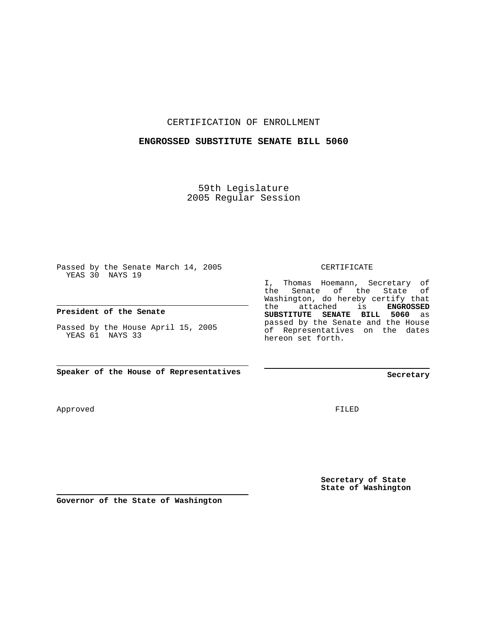## CERTIFICATION OF ENROLLMENT

## **ENGROSSED SUBSTITUTE SENATE BILL 5060**

59th Legislature 2005 Regular Session

Passed by the Senate March 14, 2005 YEAS 30 NAYS 19

**President of the Senate**

Passed by the House April 15, 2005 YEAS 61 NAYS 33

**Speaker of the House of Representatives**

Approved

I, Thomas Hoemann, Secretary of

CERTIFICATE

the Senate of the State of Washington, do hereby certify that the attached is **ENGROSSED SUBSTITUTE SENATE BILL 5060** as passed by the Senate and the House of Representatives on the dates hereon set forth.

**Secretary**

FILED

**Secretary of State State of Washington**

**Governor of the State of Washington**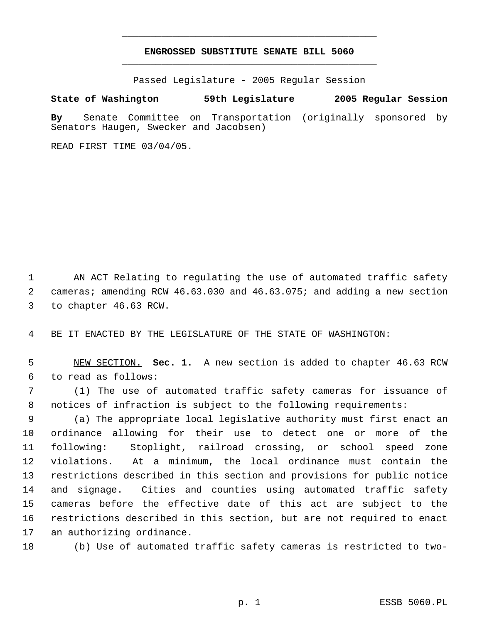## **ENGROSSED SUBSTITUTE SENATE BILL 5060** \_\_\_\_\_\_\_\_\_\_\_\_\_\_\_\_\_\_\_\_\_\_\_\_\_\_\_\_\_\_\_\_\_\_\_\_\_\_\_\_\_\_\_\_\_

\_\_\_\_\_\_\_\_\_\_\_\_\_\_\_\_\_\_\_\_\_\_\_\_\_\_\_\_\_\_\_\_\_\_\_\_\_\_\_\_\_\_\_\_\_

Passed Legislature - 2005 Regular Session

## **State of Washington 59th Legislature 2005 Regular Session**

**By** Senate Committee on Transportation (originally sponsored by Senators Haugen, Swecker and Jacobsen)

READ FIRST TIME 03/04/05.

 AN ACT Relating to regulating the use of automated traffic safety cameras; amending RCW 46.63.030 and 46.63.075; and adding a new section to chapter 46.63 RCW.

BE IT ENACTED BY THE LEGISLATURE OF THE STATE OF WASHINGTON:

 NEW SECTION. **Sec. 1.** A new section is added to chapter 46.63 RCW to read as follows:

 (1) The use of automated traffic safety cameras for issuance of notices of infraction is subject to the following requirements:

 (a) The appropriate local legislative authority must first enact an ordinance allowing for their use to detect one or more of the following: Stoplight, railroad crossing, or school speed zone violations. At a minimum, the local ordinance must contain the restrictions described in this section and provisions for public notice and signage. Cities and counties using automated traffic safety cameras before the effective date of this act are subject to the restrictions described in this section, but are not required to enact an authorizing ordinance.

(b) Use of automated traffic safety cameras is restricted to two-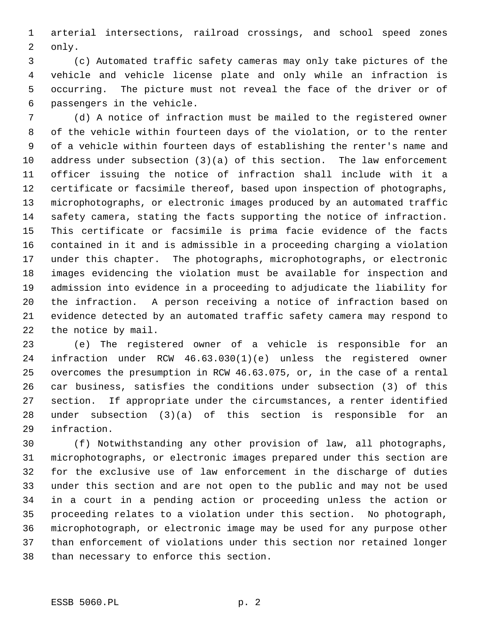arterial intersections, railroad crossings, and school speed zones only.

 (c) Automated traffic safety cameras may only take pictures of the vehicle and vehicle license plate and only while an infraction is occurring. The picture must not reveal the face of the driver or of passengers in the vehicle.

 (d) A notice of infraction must be mailed to the registered owner of the vehicle within fourteen days of the violation, or to the renter of a vehicle within fourteen days of establishing the renter's name and address under subsection (3)(a) of this section. The law enforcement officer issuing the notice of infraction shall include with it a certificate or facsimile thereof, based upon inspection of photographs, microphotographs, or electronic images produced by an automated traffic safety camera, stating the facts supporting the notice of infraction. This certificate or facsimile is prima facie evidence of the facts contained in it and is admissible in a proceeding charging a violation under this chapter. The photographs, microphotographs, or electronic images evidencing the violation must be available for inspection and admission into evidence in a proceeding to adjudicate the liability for the infraction. A person receiving a notice of infraction based on evidence detected by an automated traffic safety camera may respond to the notice by mail.

 (e) The registered owner of a vehicle is responsible for an infraction under RCW 46.63.030(1)(e) unless the registered owner overcomes the presumption in RCW 46.63.075, or, in the case of a rental car business, satisfies the conditions under subsection (3) of this section. If appropriate under the circumstances, a renter identified under subsection (3)(a) of this section is responsible for an infraction.

 (f) Notwithstanding any other provision of law, all photographs, microphotographs, or electronic images prepared under this section are for the exclusive use of law enforcement in the discharge of duties under this section and are not open to the public and may not be used in a court in a pending action or proceeding unless the action or proceeding relates to a violation under this section. No photograph, microphotograph, or electronic image may be used for any purpose other than enforcement of violations under this section nor retained longer than necessary to enforce this section.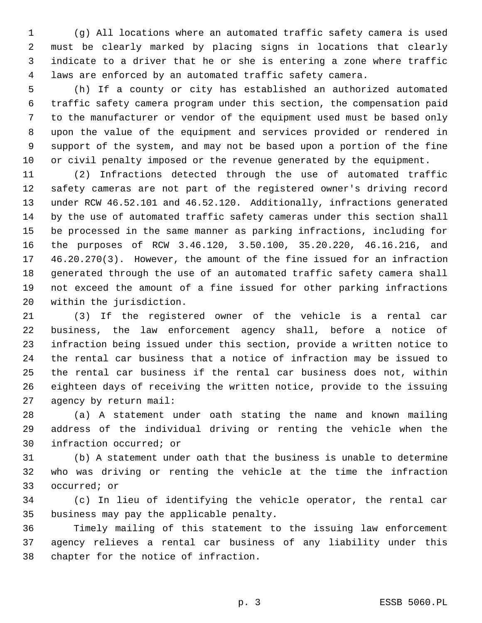(g) All locations where an automated traffic safety camera is used must be clearly marked by placing signs in locations that clearly indicate to a driver that he or she is entering a zone where traffic laws are enforced by an automated traffic safety camera.

 (h) If a county or city has established an authorized automated traffic safety camera program under this section, the compensation paid to the manufacturer or vendor of the equipment used must be based only upon the value of the equipment and services provided or rendered in support of the system, and may not be based upon a portion of the fine or civil penalty imposed or the revenue generated by the equipment.

 (2) Infractions detected through the use of automated traffic safety cameras are not part of the registered owner's driving record under RCW 46.52.101 and 46.52.120. Additionally, infractions generated by the use of automated traffic safety cameras under this section shall be processed in the same manner as parking infractions, including for the purposes of RCW 3.46.120, 3.50.100, 35.20.220, 46.16.216, and 46.20.270(3). However, the amount of the fine issued for an infraction generated through the use of an automated traffic safety camera shall not exceed the amount of a fine issued for other parking infractions within the jurisdiction.

 (3) If the registered owner of the vehicle is a rental car business, the law enforcement agency shall, before a notice of infraction being issued under this section, provide a written notice to the rental car business that a notice of infraction may be issued to the rental car business if the rental car business does not, within eighteen days of receiving the written notice, provide to the issuing agency by return mail:

 (a) A statement under oath stating the name and known mailing address of the individual driving or renting the vehicle when the infraction occurred; or

 (b) A statement under oath that the business is unable to determine who was driving or renting the vehicle at the time the infraction occurred; or

 (c) In lieu of identifying the vehicle operator, the rental car business may pay the applicable penalty.

 Timely mailing of this statement to the issuing law enforcement agency relieves a rental car business of any liability under this chapter for the notice of infraction.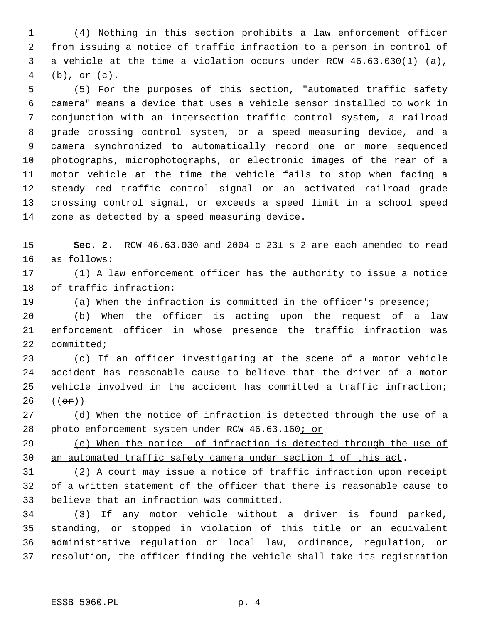(4) Nothing in this section prohibits a law enforcement officer from issuing a notice of traffic infraction to a person in control of a vehicle at the time a violation occurs under RCW 46.63.030(1) (a), (b), or (c).

 (5) For the purposes of this section, "automated traffic safety camera" means a device that uses a vehicle sensor installed to work in conjunction with an intersection traffic control system, a railroad grade crossing control system, or a speed measuring device, and a camera synchronized to automatically record one or more sequenced photographs, microphotographs, or electronic images of the rear of a motor vehicle at the time the vehicle fails to stop when facing a steady red traffic control signal or an activated railroad grade crossing control signal, or exceeds a speed limit in a school speed zone as detected by a speed measuring device.

 **Sec. 2.** RCW 46.63.030 and 2004 c 231 s 2 are each amended to read as follows:

 (1) A law enforcement officer has the authority to issue a notice of traffic infraction:

(a) When the infraction is committed in the officer's presence;

 (b) When the officer is acting upon the request of a law enforcement officer in whose presence the traffic infraction was committed;

 (c) If an officer investigating at the scene of a motor vehicle accident has reasonable cause to believe that the driver of a motor vehicle involved in the accident has committed a traffic infraction;  $((e^e)^s)$ 

 (d) When the notice of infraction is detected through the use of a 28 photo enforcement system under RCW 46.63.160; or

 (e) When the notice of infraction is detected through the use of an automated traffic safety camera under section 1 of this act.

 (2) A court may issue a notice of traffic infraction upon receipt of a written statement of the officer that there is reasonable cause to believe that an infraction was committed.

 (3) If any motor vehicle without a driver is found parked, standing, or stopped in violation of this title or an equivalent administrative regulation or local law, ordinance, regulation, or resolution, the officer finding the vehicle shall take its registration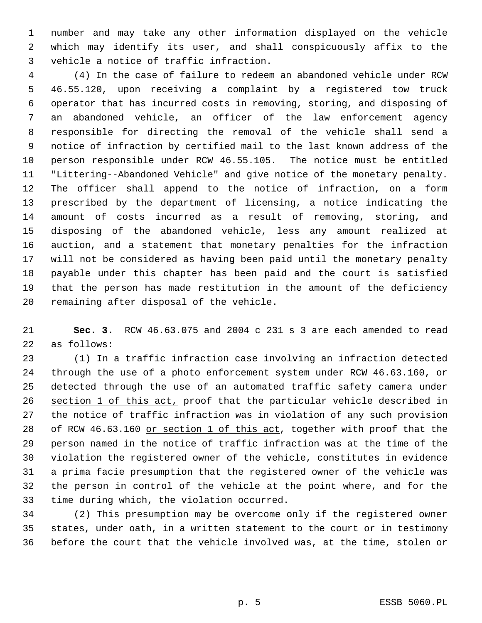number and may take any other information displayed on the vehicle which may identify its user, and shall conspicuously affix to the vehicle a notice of traffic infraction.

 (4) In the case of failure to redeem an abandoned vehicle under RCW 46.55.120, upon receiving a complaint by a registered tow truck operator that has incurred costs in removing, storing, and disposing of an abandoned vehicle, an officer of the law enforcement agency responsible for directing the removal of the vehicle shall send a notice of infraction by certified mail to the last known address of the person responsible under RCW 46.55.105. The notice must be entitled "Littering--Abandoned Vehicle" and give notice of the monetary penalty. The officer shall append to the notice of infraction, on a form prescribed by the department of licensing, a notice indicating the amount of costs incurred as a result of removing, storing, and disposing of the abandoned vehicle, less any amount realized at auction, and a statement that monetary penalties for the infraction will not be considered as having been paid until the monetary penalty payable under this chapter has been paid and the court is satisfied that the person has made restitution in the amount of the deficiency remaining after disposal of the vehicle.

 **Sec. 3.** RCW 46.63.075 and 2004 c 231 s 3 are each amended to read as follows:

 (1) In a traffic infraction case involving an infraction detected 24 through the use of a photo enforcement system under RCW 46.63.160, or 25 detected through the use of an automated traffic safety camera under section 1 of this act, proof that the particular vehicle described in the notice of traffic infraction was in violation of any such provision 28 of RCW 46.63.160 or section 1 of this act, together with proof that the person named in the notice of traffic infraction was at the time of the violation the registered owner of the vehicle, constitutes in evidence a prima facie presumption that the registered owner of the vehicle was the person in control of the vehicle at the point where, and for the time during which, the violation occurred.

 (2) This presumption may be overcome only if the registered owner states, under oath, in a written statement to the court or in testimony before the court that the vehicle involved was, at the time, stolen or